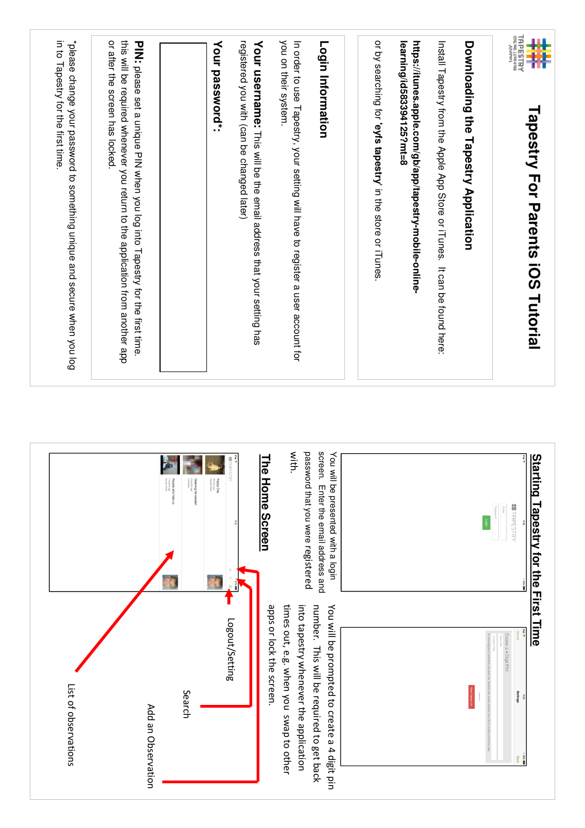| "please change your password to something unique and secure when you log<br>or after the screen has locked<br>this will be required whenever you return to the application from another app<br>in to Tapestry for the first time. | PIN: please set a unique PIN when you log into Tapestry for the first time.                                                                                              | registered you with (can be changed later)<br>Your password*:                                                                                                                              | you on their system.<br>In order to use Tapestry, your setting will have to register a user account for<br>Your username: This will be the email address that your setting has<br>Login Information                                                                                                                                                           | or by searching for 'eyfs tapestry' in the store or iTunes | learning/id583394125?mt=8<br>https://itunes.apple.com/gb/app/tapestry-mobile-online- | Install Tapestry from the Apple App Store or iTunes. It can be found here: | Downloading the Tapestry Application | <b>MARY</b><br>Research<br>带<br><b>Tapestry For Parents iOS Tutorial</b>                            |
|-----------------------------------------------------------------------------------------------------------------------------------------------------------------------------------------------------------------------------------|--------------------------------------------------------------------------------------------------------------------------------------------------------------------------|--------------------------------------------------------------------------------------------------------------------------------------------------------------------------------------------|---------------------------------------------------------------------------------------------------------------------------------------------------------------------------------------------------------------------------------------------------------------------------------------------------------------------------------------------------------------|------------------------------------------------------------|--------------------------------------------------------------------------------------|----------------------------------------------------------------------------|--------------------------------------|-----------------------------------------------------------------------------------------------------|
| List of observations                                                                                                                                                                                                              | F<br><b>Opening the sandpit</b><br><b>2</b> months age<br><b>3</b> Children<br><b>People who help us</b><br>7 months ago<br>Xondor Smith<br>Search<br>Add an Observation | #HD<br>$\begin{array}{l} \displaystyle \text{Happy\,Dog} \\ \mathop{\rm 2d} \displaystyle \min_{\substack{\text{infty two non-} \\ \text{infty two non-} }} \end{array}$<br>Logout/Setting | password that you were registered<br>screen.<br>with.<br>You will be presented with a login<br>The<br>Home Screen<br>Enter the email address and<br>times out, e.g. when you swap to other<br>into tapestry whenever the application<br>number. This will be required to get back<br>apps or lock the screen.<br>You will be prompted to create a 4 digit pin |                                                            |                                                                                      |                                                                            |                                      | <b>Start</b><br>ting Tapestry for the First Time<br>## LAPESTRY<br>Create a 4 Digit PIN<br>Settings |